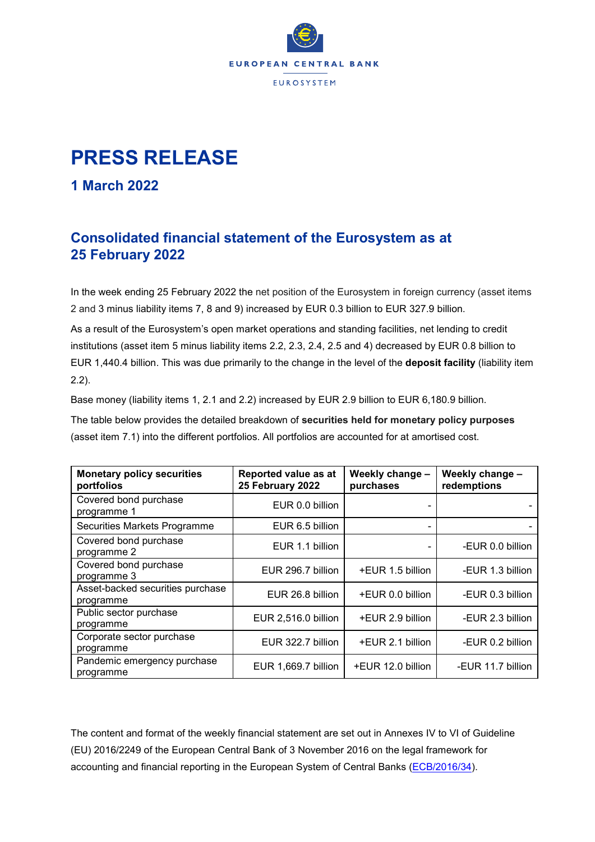

## **PRESS RELEASE**

**1 March 2022**

## **Consolidated financial statement of the Eurosystem as at 25 February 2022**

In the week ending 25 February 2022 the net position of the Eurosystem in foreign currency (asset items 2 and 3 minus liability items 7, 8 and 9) increased by EUR 0.3 billion to EUR 327.9 billion.

As a result of the Eurosystem's open market operations and standing facilities, net lending to credit institutions (asset item 5 minus liability items 2.2, 2.3, 2.4, 2.5 and 4) decreased by EUR 0.8 billion to EUR 1,440.4 billion. This was due primarily to the change in the level of the **deposit facility** (liability item 2.2).

Base money (liability items 1, 2.1 and 2.2) increased by EUR 2.9 billion to EUR 6,180.9 billion.

The table below provides the detailed breakdown of **securities held for monetary policy purposes** (asset item 7.1) into the different portfolios. All portfolios are accounted for at amortised cost.

| <b>Monetary policy securities</b><br>portfolios | Reported value as at<br>25 February 2022 | Weekly change -<br>purchases | Weekly change -<br>redemptions |
|-------------------------------------------------|------------------------------------------|------------------------------|--------------------------------|
| Covered bond purchase<br>programme 1            | EUR 0.0 billion                          |                              |                                |
| Securities Markets Programme                    | EUR 6.5 billion                          |                              |                                |
| Covered bond purchase<br>programme 2            | EUR 1.1 billion                          |                              | -EUR 0.0 billion               |
| Covered bond purchase<br>programme 3            | EUR 296.7 billion                        | +EUR 1.5 billion             | -EUR 1.3 billion               |
| Asset-backed securities purchase<br>programme   | EUR 26.8 billion                         | +EUR 0.0 billion             | -EUR 0.3 billion               |
| Public sector purchase<br>programme             | EUR 2,516.0 billion                      | +EUR 2.9 billion             | -EUR 2.3 billion               |
| Corporate sector purchase<br>programme          | EUR 322.7 billion                        | +EUR 2.1 billion             | -EUR 0.2 billion               |
| Pandemic emergency purchase<br>programme        | EUR 1,669.7 billion                      | +EUR 12.0 billion            | -EUR 11.7 billion              |

The content and format of the weekly financial statement are set out in Annexes IV to VI of Guideline (EU) 2016/2249 of the European Central Bank of 3 November 2016 on the legal framework for accounting and financial reporting in the European System of Central Banks [\(ECB/2016/34\)](https://eur-lex.europa.eu/legal-content/EN/TXT/?qid=1599130224518&uri=CELEX:32016O0034).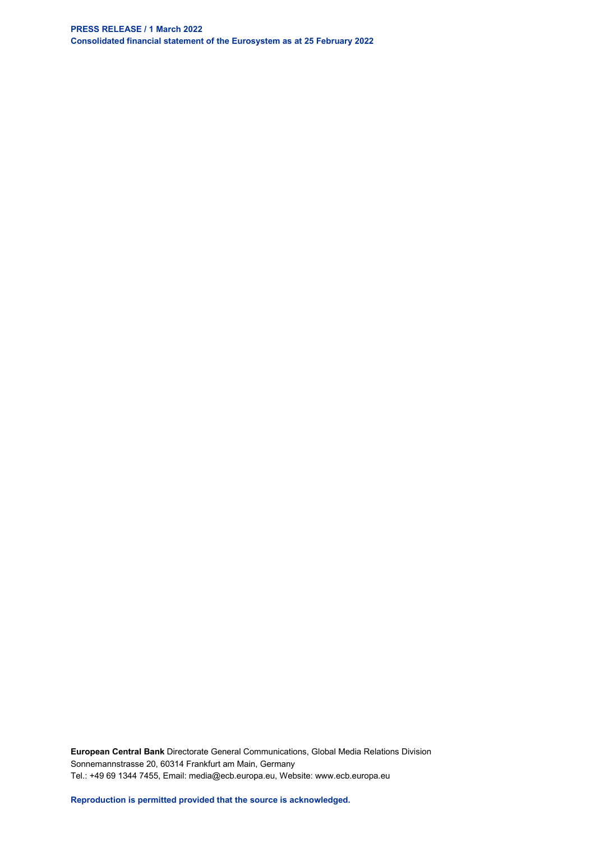**European Central Bank** Directorate General Communications, Global Media Relations Division Sonnemannstrasse 20, 60314 Frankfurt am Main, Germany Tel.: +49 69 1344 7455, Email: media@ecb.europa.eu, Website: www.ecb.europa.eu